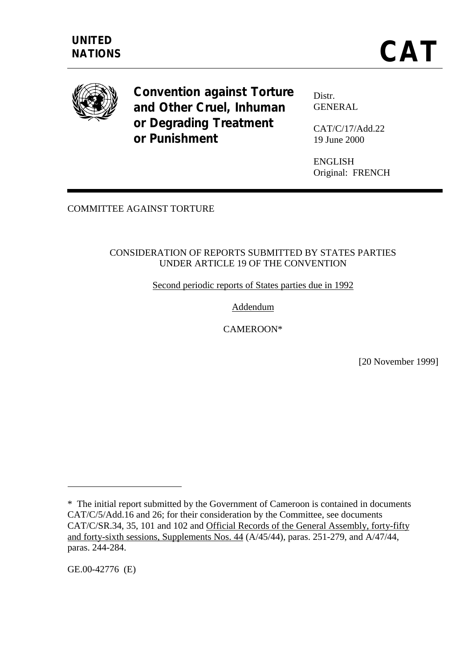

**Convention against Torture and Other Cruel, Inhuman or Degrading Treatment or Punishment**

Distr. GENERAL

CAT/C/17/Add.22 19 June 2000

ENGLISH Original: FRENCH

COMMITTEE AGAINST TORTURE

### CONSIDERATION OF REPORTS SUBMITTED BY STATES PARTIES UNDER ARTICLE 19 OF THE CONVENTION

Second periodic reports of States parties due in 1992

Addendum

CAMEROON\*

[20 November 1999]

GE.00-42776 (E)

 $\overline{a}$ 

<sup>\*</sup> The initial report submitted by the Government of Cameroon is contained in documents CAT/C/5/Add.16 and 26; for their consideration by the Committee, see documents CAT/C/SR.34, 35, 101 and 102 and Official Records of the General Assembly, forty-fifty and forty-sixth sessions, Supplements Nos. 44 (A/45/44), paras. 251-279, and A/47/44, paras. 244-284.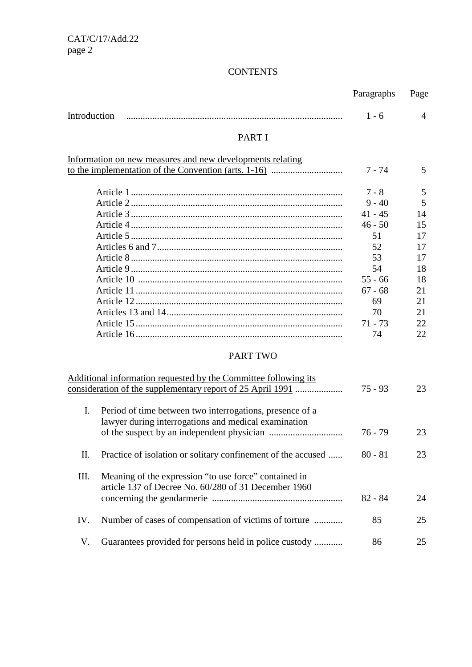# **CONTENTS**

|                                                                                                                        | Paragraphs | Page           |
|------------------------------------------------------------------------------------------------------------------------|------------|----------------|
| Introduction                                                                                                           | $1 - 6$    | $\overline{A}$ |
| <b>PART I</b>                                                                                                          |            |                |
| Information on new measures and new developments relating                                                              |            |                |
|                                                                                                                        | 7 - 74     | 5              |
|                                                                                                                        | $7 - 8$    | 5              |
|                                                                                                                        | $9 - 40$   | 5              |
|                                                                                                                        | $41 - 45$  | 14             |
|                                                                                                                        | $46 - 50$  | 15             |
|                                                                                                                        | 51         | 17             |
|                                                                                                                        | 52         | 17             |
|                                                                                                                        | 53         | 17             |
|                                                                                                                        | 54         | 18             |
|                                                                                                                        | $55 - 66$  | 18             |
|                                                                                                                        | $67 - 68$  | 21             |
|                                                                                                                        | 69         | 21             |
|                                                                                                                        | 70         | 21             |
|                                                                                                                        | $71 - 73$  | 22             |
|                                                                                                                        | 74         | 22             |
| <b>PART TWO</b>                                                                                                        |            |                |
| Additional information requested by the Committee following its                                                        |            |                |
| consideration of the supplementary report of 25 April 1991                                                             | $75 - 93$  | 23             |
| I.<br>Period of time between two interrogations, presence of a<br>lawyer during interrogations and medical examination |            |                |
|                                                                                                                        | $76 - 79$  | 23             |
| Π.<br>Practice of isolation or solitary confinement of the accused                                                     | $80 - 81$  | 23             |
| III.<br>Meaning of the expression "to use force" contained in<br>article 137 of Decree No. 60/280 of 31 December 1960  |            |                |
|                                                                                                                        | $82 - 84$  | 24             |
| Number of cases of compensation of victims of torture<br>IV.                                                           | 85         | 25             |
| Guarantees provided for persons held in police custody<br>V.                                                           | 86         | 25             |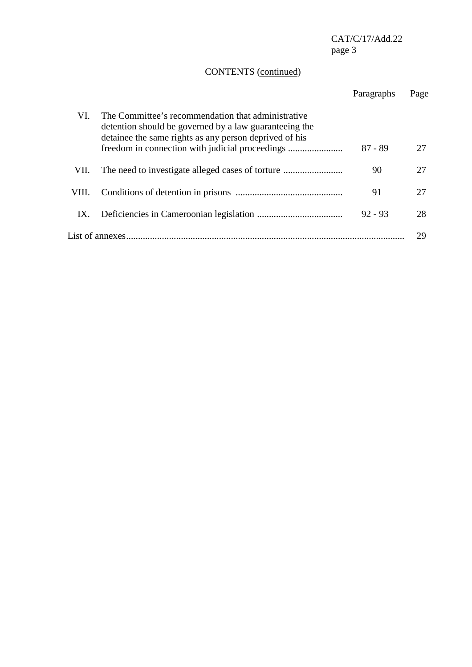# CONTENTS (continued)

|       |                                                                                                                                                                                                                           | Paragraphs | Page |
|-------|---------------------------------------------------------------------------------------------------------------------------------------------------------------------------------------------------------------------------|------------|------|
| VI.   | The Committee's recommendation that administrative<br>detention should be governed by a law guaranteeing the<br>detainee the same rights as any person deprived of his<br>freedom in connection with judicial proceedings | $87 - 89$  |      |
| VII.  |                                                                                                                                                                                                                           | 90         |      |
| VIII. |                                                                                                                                                                                                                           | 91         | 27   |
| IX.   |                                                                                                                                                                                                                           | $92 - 93$  | 28   |
|       | List of annexes.                                                                                                                                                                                                          |            | 29   |
|       |                                                                                                                                                                                                                           |            |      |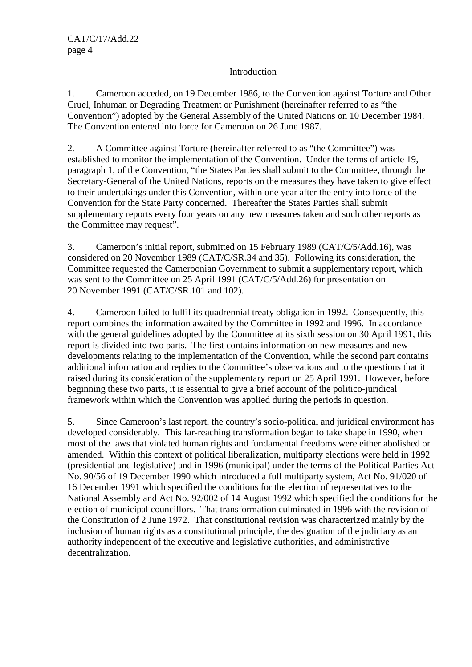### Introduction

1. Cameroon acceded, on 19 December 1986, to the Convention against Torture and Other Cruel, Inhuman or Degrading Treatment or Punishment (hereinafter referred to as "the Convention") adopted by the General Assembly of the United Nations on 10 December 1984. The Convention entered into force for Cameroon on 26 June 1987.

2. A Committee against Torture (hereinafter referred to as "the Committee") was established to monitor the implementation of the Convention. Under the terms of article 19, paragraph 1, of the Convention, "the States Parties shall submit to the Committee, through the Secretary-General of the United Nations, reports on the measures they have taken to give effect to their undertakings under this Convention, within one year after the entry into force of the Convention for the State Party concerned. Thereafter the States Parties shall submit supplementary reports every four years on any new measures taken and such other reports as the Committee may request".

3. Cameroon's initial report, submitted on 15 February 1989 (CAT/C/5/Add.16), was considered on 20 November 1989 (CAT/C/SR.34 and 35). Following its consideration, the Committee requested the Cameroonian Government to submit a supplementary report, which was sent to the Committee on 25 April 1991 (CAT/C/5/Add.26) for presentation on 20 November 1991 (CAT/C/SR.101 and 102).

4. Cameroon failed to fulfil its quadrennial treaty obligation in 1992. Consequently, this report combines the information awaited by the Committee in 1992 and 1996. In accordance with the general guidelines adopted by the Committee at its sixth session on 30 April 1991, this report is divided into two parts. The first contains information on new measures and new developments relating to the implementation of the Convention, while the second part contains additional information and replies to the Committee's observations and to the questions that it raised during its consideration of the supplementary report on 25 April 1991. However, before beginning these two parts, it is essential to give a brief account of the politico-juridical framework within which the Convention was applied during the periods in question.

5. Since Cameroon's last report, the country's socio-political and juridical environment has developed considerably. This far-reaching transformation began to take shape in 1990, when most of the laws that violated human rights and fundamental freedoms were either abolished or amended. Within this context of political liberalization, multiparty elections were held in 1992 (presidential and legislative) and in 1996 (municipal) under the terms of the Political Parties Act No. 90/56 of 19 December 1990 which introduced a full multiparty system, Act No. 91/020 of 16 December 1991 which specified the conditions for the election of representatives to the National Assembly and Act No. 92/002 of 14 August 1992 which specified the conditions for the election of municipal councillors. That transformation culminated in 1996 with the revision of the Constitution of 2 June 1972. That constitutional revision was characterized mainly by the inclusion of human rights as a constitutional principle, the designation of the judiciary as an authority independent of the executive and legislative authorities, and administrative decentralization.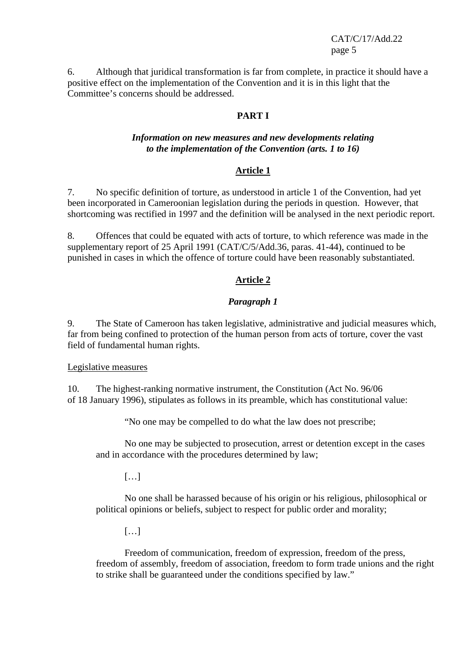6. Although that juridical transformation is far from complete, in practice it should have a positive effect on the implementation of the Convention and it is in this light that the Committee's concerns should be addressed.

#### **PART I**

#### *Information on new measures and new developments relating to the implementation of the Convention (arts. 1 to 16)*

#### **Article 1**

7. No specific definition of torture, as understood in article 1 of the Convention, had yet been incorporated in Cameroonian legislation during the periods in question. However, that shortcoming was rectified in 1997 and the definition will be analysed in the next periodic report.

8. Offences that could be equated with acts of torture, to which reference was made in the supplementary report of 25 April 1991 (CAT/C/5/Add.36, paras. 41-44), continued to be punished in cases in which the offence of torture could have been reasonably substantiated.

### **Article 2**

### *Paragraph 1*

9. The State of Cameroon has taken legislative, administrative and judicial measures which, far from being confined to protection of the human person from acts of torture, cover the vast field of fundamental human rights.

#### Legislative measures

10. The highest-ranking normative instrument, the Constitution (Act No. 96/06 of 18 January 1996), stipulates as follows in its preamble, which has constitutional value:

"No one may be compelled to do what the law does not prescribe;

No one may be subjected to prosecution, arrest or detention except in the cases and in accordance with the procedures determined by law;

[…]

No one shall be harassed because of his origin or his religious, philosophical or political opinions or beliefs, subject to respect for public order and morality;

[…]

Freedom of communication, freedom of expression, freedom of the press, freedom of assembly, freedom of association, freedom to form trade unions and the right to strike shall be guaranteed under the conditions specified by law."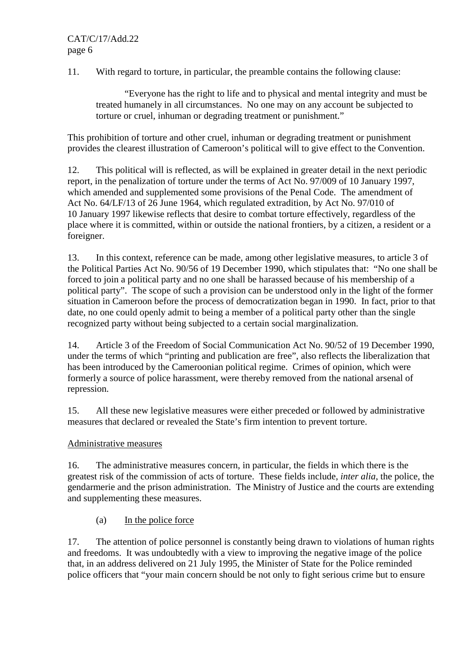11. With regard to torture, in particular, the preamble contains the following clause:

"Everyone has the right to life and to physical and mental integrity and must be treated humanely in all circumstances. No one may on any account be subjected to torture or cruel, inhuman or degrading treatment or punishment."

This prohibition of torture and other cruel, inhuman or degrading treatment or punishment provides the clearest illustration of Cameroon's political will to give effect to the Convention.

12. This political will is reflected, as will be explained in greater detail in the next periodic report, in the penalization of torture under the terms of Act No. 97/009 of 10 January 1997, which amended and supplemented some provisions of the Penal Code. The amendment of Act No. 64/LF/13 of 26 June 1964, which regulated extradition, by Act No. 97/010 of 10 January 1997 likewise reflects that desire to combat torture effectively, regardless of the place where it is committed, within or outside the national frontiers, by a citizen, a resident or a foreigner.

13. In this context, reference can be made, among other legislative measures, to article 3 of the Political Parties Act No. 90/56 of 19 December 1990, which stipulates that: "No one shall be forced to join a political party and no one shall be harassed because of his membership of a political party". The scope of such a provision can be understood only in the light of the former situation in Cameroon before the process of democratization began in 1990. In fact, prior to that date, no one could openly admit to being a member of a political party other than the single recognized party without being subjected to a certain social marginalization.

14. Article 3 of the Freedom of Social Communication Act No. 90/52 of 19 December 1990, under the terms of which "printing and publication are free", also reflects the liberalization that has been introduced by the Cameroonian political regime. Crimes of opinion, which were formerly a source of police harassment, were thereby removed from the national arsenal of repression.

15. All these new legislative measures were either preceded or followed by administrative measures that declared or revealed the State's firm intention to prevent torture.

### Administrative measures

16. The administrative measures concern, in particular, the fields in which there is the greatest risk of the commission of acts of torture. These fields include, *inter alia*, the police, the gendarmerie and the prison administration. The Ministry of Justice and the courts are extending and supplementing these measures.

(a) In the police force

17. The attention of police personnel is constantly being drawn to violations of human rights and freedoms. It was undoubtedly with a view to improving the negative image of the police that, in an address delivered on 21 July 1995, the Minister of State for the Police reminded police officers that "your main concern should be not only to fight serious crime but to ensure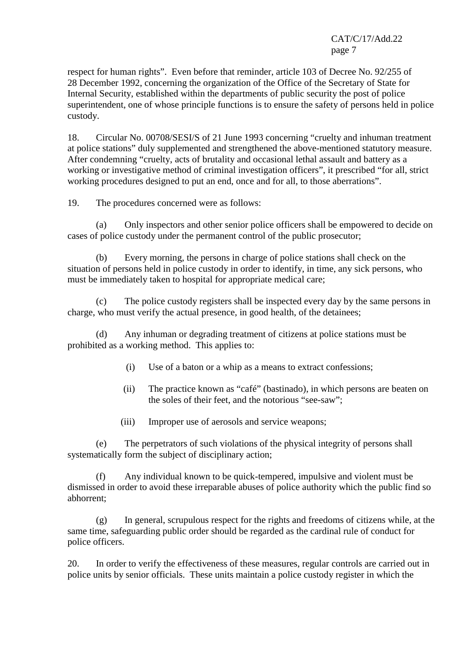respect for human rights". Even before that reminder, article 103 of Decree No. 92/255 of 28 December 1992, concerning the organization of the Office of the Secretary of State for Internal Security, established within the departments of public security the post of police superintendent, one of whose principle functions is to ensure the safety of persons held in police custody.

18. Circular No. 00708/SESI/S of 21 June 1993 concerning "cruelty and inhuman treatment at police stations" duly supplemented and strengthened the above-mentioned statutory measure. After condemning "cruelty, acts of brutality and occasional lethal assault and battery as a working or investigative method of criminal investigation officers", it prescribed "for all, strict working procedures designed to put an end, once and for all, to those aberrations".

19. The procedures concerned were as follows:

(a) Only inspectors and other senior police officers shall be empowered to decide on cases of police custody under the permanent control of the public prosecutor;

(b) Every morning, the persons in charge of police stations shall check on the situation of persons held in police custody in order to identify, in time, any sick persons, who must be immediately taken to hospital for appropriate medical care;

(c) The police custody registers shall be inspected every day by the same persons in charge, who must verify the actual presence, in good health, of the detainees;

(d) Any inhuman or degrading treatment of citizens at police stations must be prohibited as a working method. This applies to:

- (i) Use of a baton or a whip as a means to extract confessions;
- (ii) The practice known as "café" (bastinado), in which persons are beaten on the soles of their feet, and the notorious "see-saw";
- (iii) Improper use of aerosols and service weapons;

(e) The perpetrators of such violations of the physical integrity of persons shall systematically form the subject of disciplinary action;

(f) Any individual known to be quick-tempered, impulsive and violent must be dismissed in order to avoid these irreparable abuses of police authority which the public find so abhorrent;

(g) In general, scrupulous respect for the rights and freedoms of citizens while, at the same time, safeguarding public order should be regarded as the cardinal rule of conduct for police officers.

20. In order to verify the effectiveness of these measures, regular controls are carried out in police units by senior officials. These units maintain a police custody register in which the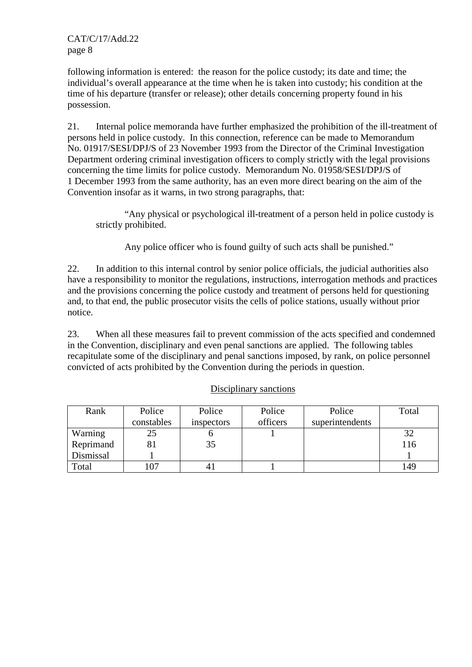following information is entered: the reason for the police custody; its date and time; the individual's overall appearance at the time when he is taken into custody; his condition at the time of his departure (transfer or release); other details concerning property found in his possession.

21. Internal police memoranda have further emphasized the prohibition of the ill-treatment of persons held in police custody. In this connection, reference can be made to Memorandum No. 01917/SESI/DPJ/S of 23 November 1993 from the Director of the Criminal Investigation Department ordering criminal investigation officers to comply strictly with the legal provisions concerning the time limits for police custody. Memorandum No. 01958/SESI/DPJ/S of 1 December 1993 from the same authority, has an even more direct bearing on the aim of the Convention insofar as it warns, in two strong paragraphs, that:

"Any physical or psychological ill-treatment of a person held in police custody is strictly prohibited.

Any police officer who is found guilty of such acts shall be punished."

22. In addition to this internal control by senior police officials, the judicial authorities also have a responsibility to monitor the regulations, instructions, interrogation methods and practices and the provisions concerning the police custody and treatment of persons held for questioning and, to that end, the public prosecutor visits the cells of police stations, usually without prior notice.

23. When all these measures fail to prevent commission of the acts specified and condemned in the Convention, disciplinary and even penal sanctions are applied. The following tables recapitulate some of the disciplinary and penal sanctions imposed, by rank, on police personnel convicted of acts prohibited by the Convention during the periods in question.

| Rank      | Police     | Police     | Police   | Police          | Total |
|-----------|------------|------------|----------|-----------------|-------|
|           | constables | inspectors | officers | superintendents |       |
| Warning   | 25         |            |          |                 | 32    |
| Reprimand | 81         | 35         |          |                 | 116   |
| Dismissal |            |            |          |                 |       |
| Total     |            |            |          |                 | 149   |

### Disciplinary sanctions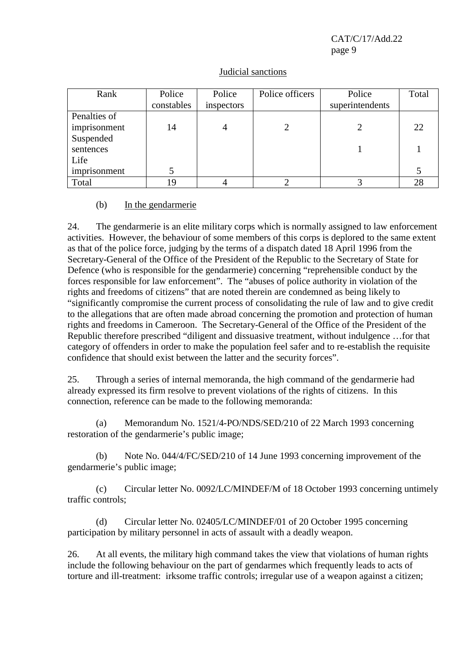| Rank         | Police     | Police     | Police officers | Police          | Total |
|--------------|------------|------------|-----------------|-----------------|-------|
|              | constables | inspectors |                 | superintendents |       |
| Penalties of |            |            |                 |                 |       |
| imprisonment | 14         |            |                 |                 | 22    |
| Suspended    |            |            |                 |                 |       |
| sentences    |            |            |                 |                 |       |
| Life         |            |            |                 |                 |       |
| imprisonment |            |            |                 |                 |       |
| Total        | 19         |            |                 |                 | 28    |

### Judicial sanctions

#### (b) In the gendarmerie

24. The gendarmerie is an elite military corps which is normally assigned to law enforcement activities. However, the behaviour of some members of this corps is deplored to the same extent as that of the police force, judging by the terms of a dispatch dated 18 April 1996 from the Secretary-General of the Office of the President of the Republic to the Secretary of State for Defence (who is responsible for the gendarmerie) concerning "reprehensible conduct by the forces responsible for law enforcement". The "abuses of police authority in violation of the rights and freedoms of citizens" that are noted therein are condemned as being likely to "significantly compromise the current process of consolidating the rule of law and to give credit to the allegations that are often made abroad concerning the promotion and protection of human rights and freedoms in Cameroon. The Secretary-General of the Office of the President of the Republic therefore prescribed "diligent and dissuasive treatment, without indulgence …for that category of offenders in order to make the population feel safer and to re-establish the requisite confidence that should exist between the latter and the security forces".

25. Through a series of internal memoranda, the high command of the gendarmerie had already expressed its firm resolve to prevent violations of the rights of citizens. In this connection, reference can be made to the following memoranda:

(a) Memorandum No. 1521/4-PO/NDS/SED/210 of 22 March 1993 concerning restoration of the gendarmerie's public image;

(b) Note No. 044/4/FC/SED/210 of 14 June 1993 concerning improvement of the gendarmerie's public image;

(c) Circular letter No. 0092/LC/MINDEF/M of 18 October 1993 concerning untimely traffic controls;

(d) Circular letter No. 02405/LC/MINDEF/01 of 20 October 1995 concerning participation by military personnel in acts of assault with a deadly weapon.

26. At all events, the military high command takes the view that violations of human rights include the following behaviour on the part of gendarmes which frequently leads to acts of torture and ill-treatment: irksome traffic controls; irregular use of a weapon against a citizen;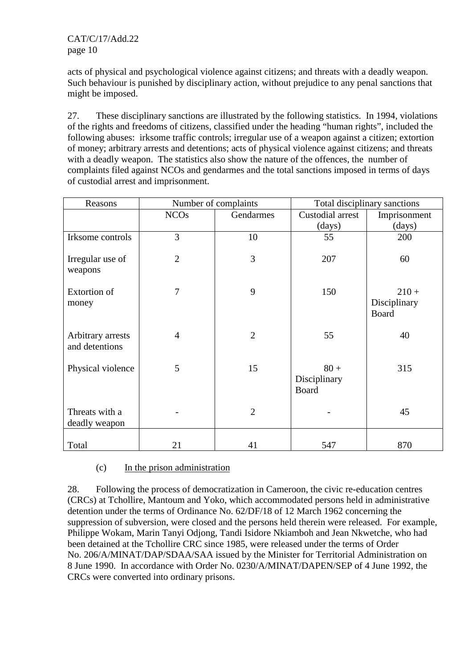acts of physical and psychological violence against citizens; and threats with a deadly weapon. Such behaviour is punished by disciplinary action, without prejudice to any penal sanctions that might be imposed.

27. These disciplinary sanctions are illustrated by the following statistics. In 1994, violations of the rights and freedoms of citizens, classified under the heading "human rights", included the following abuses: irksome traffic controls; irregular use of a weapon against a citizen; extortion of money; arbitrary arrests and detentions; acts of physical violence against citizens; and threats with a deadly weapon. The statistics also show the nature of the offences, the number of complaints filed against NCOs and gendarmes and the total sanctions imposed in terms of days of custodial arrest and imprisonment.

| Reasons                             | Number of complaints |                | Total disciplinary sanctions    |                                         |  |
|-------------------------------------|----------------------|----------------|---------------------------------|-----------------------------------------|--|
|                                     | <b>NCOs</b>          | Gendarmes      | Custodial arrest                | Imprisonment                            |  |
|                                     |                      |                | (days)                          | (days)                                  |  |
| Irksome controls                    | 3                    | 10             | 55                              | 200                                     |  |
| Irregular use of<br>weapons         | $\overline{2}$       | 3              | 207                             | 60                                      |  |
| <b>Extortion of</b><br>money        | 7                    | 9              | 150                             | $210 +$<br>Disciplinary<br><b>Board</b> |  |
| Arbitrary arrests<br>and detentions | $\overline{4}$       | $\overline{2}$ | 55                              | 40                                      |  |
| Physical violence                   | 5                    | 15             | $80 +$<br>Disciplinary<br>Board | 315                                     |  |
| Threats with a<br>deadly weapon     |                      | $\overline{2}$ |                                 | 45                                      |  |
| Total                               | 21                   | 41             | 547                             | 870                                     |  |

(c) In the prison administration

28. Following the process of democratization in Cameroon, the civic re-education centres (CRCs) at Tchollire, Mantoum and Yoko, which accommodated persons held in administrative detention under the terms of Ordinance No. 62/DF/18 of 12 March 1962 concerning the suppression of subversion, were closed and the persons held therein were released. For example, Philippe Wokam, Marin Tanyi Odjong, Tandi Isidore Nkiamboh and Jean Nkwetche, who had been detained at the Tchollire CRC since 1985, were released under the terms of Order No. 206/A/MINAT/DAP/SDAA/SAA issued by the Minister for Territorial Administration on 8 June 1990. In accordance with Order No. 0230/A/MINAT/DAPEN/SEP of 4 June 1992, the CRCs were converted into ordinary prisons.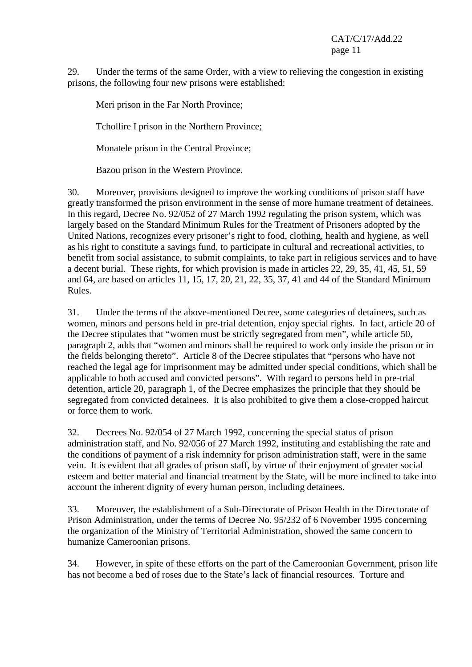29. Under the terms of the same Order, with a view to relieving the congestion in existing prisons, the following four new prisons were established:

Meri prison in the Far North Province;

Tchollire I prison in the Northern Province;

Monatele prison in the Central Province;

Bazou prison in the Western Province.

30. Moreover, provisions designed to improve the working conditions of prison staff have greatly transformed the prison environment in the sense of more humane treatment of detainees. In this regard, Decree No. 92/052 of 27 March 1992 regulating the prison system, which was largely based on the Standard Minimum Rules for the Treatment of Prisoners adopted by the United Nations, recognizes every prisoner's right to food, clothing, health and hygiene, as well as his right to constitute a savings fund, to participate in cultural and recreational activities, to benefit from social assistance, to submit complaints, to take part in religious services and to have a decent burial. These rights, for which provision is made in articles 22, 29, 35, 41, 45, 51, 59 and 64, are based on articles 11, 15, 17, 20, 21, 22, 35, 37, 41 and 44 of the Standard Minimum Rules.

31. Under the terms of the above-mentioned Decree, some categories of detainees, such as women, minors and persons held in pre-trial detention, enjoy special rights. In fact, article 20 of the Decree stipulates that "women must be strictly segregated from men", while article 50, paragraph 2, adds that "women and minors shall be required to work only inside the prison or in the fields belonging thereto". Article 8 of the Decree stipulates that "persons who have not reached the legal age for imprisonment may be admitted under special conditions, which shall be applicable to both accused and convicted persons". With regard to persons held in pre-trial detention, article 20, paragraph 1, of the Decree emphasizes the principle that they should be segregated from convicted detainees. It is also prohibited to give them a close-cropped haircut or force them to work.

32. Decrees No. 92/054 of 27 March 1992, concerning the special status of prison administration staff, and No. 92/056 of 27 March 1992, instituting and establishing the rate and the conditions of payment of a risk indemnity for prison administration staff, were in the same vein. It is evident that all grades of prison staff, by virtue of their enjoyment of greater social esteem and better material and financial treatment by the State, will be more inclined to take into account the inherent dignity of every human person, including detainees.

33. Moreover, the establishment of a Sub-Directorate of Prison Health in the Directorate of Prison Administration, under the terms of Decree No. 95/232 of 6 November 1995 concerning the organization of the Ministry of Territorial Administration, showed the same concern to humanize Cameroonian prisons.

34. However, in spite of these efforts on the part of the Cameroonian Government, prison life has not become a bed of roses due to the State's lack of financial resources. Torture and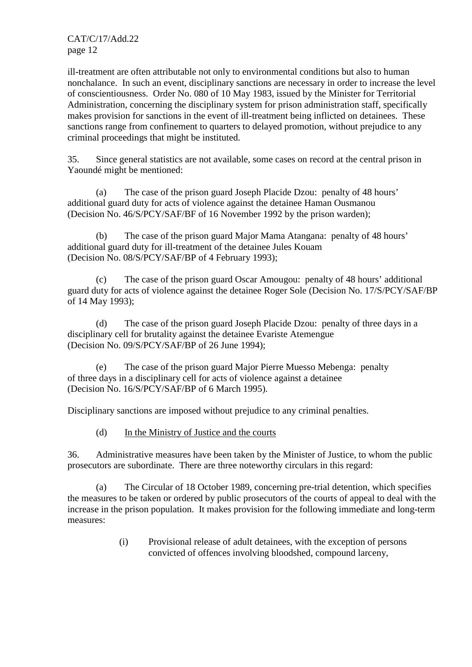ill-treatment are often attributable not only to environmental conditions but also to human nonchalance. In such an event, disciplinary sanctions are necessary in order to increase the level of conscientiousness. Order No. 080 of 10 May 1983, issued by the Minister for Territorial Administration, concerning the disciplinary system for prison administration staff, specifically makes provision for sanctions in the event of ill-treatment being inflicted on detainees. These sanctions range from confinement to quarters to delayed promotion, without prejudice to any criminal proceedings that might be instituted.

35. Since general statistics are not available, some cases on record at the central prison in Yaoundé might be mentioned:

(a) The case of the prison guard Joseph Placide Dzou: penalty of 48 hours' additional guard duty for acts of violence against the detainee Haman Ousmanou (Decision No. 46/S/PCY/SAF/BF of 16 November 1992 by the prison warden);

(b) The case of the prison guard Major Mama Atangana: penalty of 48 hours' additional guard duty for ill-treatment of the detainee Jules Kouam (Decision No. 08/S/PCY/SAF/BP of 4 February 1993);

(c) The case of the prison guard Oscar Amougou: penalty of 48 hours' additional guard duty for acts of violence against the detainee Roger Sole (Decision No. 17/S/PCY/SAF/BP of 14 May 1993);

(d) The case of the prison guard Joseph Placide Dzou: penalty of three days in a disciplinary cell for brutality against the detainee Evariste Atemengue (Decision No. 09/S/PCY/SAF/BP of 26 June 1994);

(e) The case of the prison guard Major Pierre Muesso Mebenga: penalty of three days in a disciplinary cell for acts of violence against a detainee (Decision No. 16/S/PCY/SAF/BP of 6 March 1995).

Disciplinary sanctions are imposed without prejudice to any criminal penalties.

(d) In the Ministry of Justice and the courts

36. Administrative measures have been taken by the Minister of Justice, to whom the public prosecutors are subordinate. There are three noteworthy circulars in this regard:

(a) The Circular of 18 October 1989, concerning pre-trial detention, which specifies the measures to be taken or ordered by public prosecutors of the courts of appeal to deal with the increase in the prison population. It makes provision for the following immediate and long-term measures:

> (i) Provisional release of adult detainees, with the exception of persons convicted of offences involving bloodshed, compound larceny,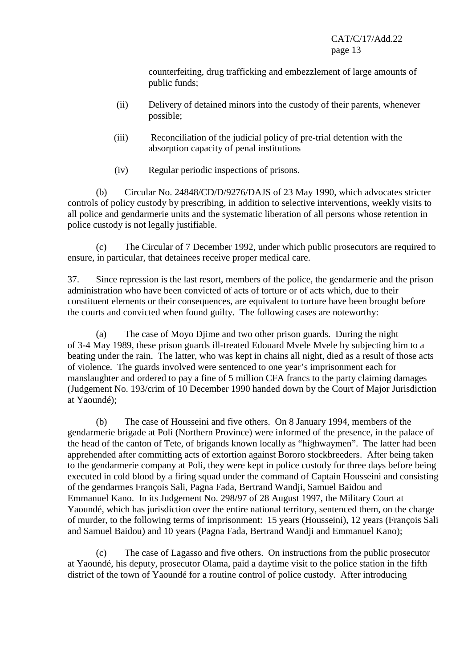counterfeiting, drug trafficking and embezzlement of large amounts of public funds;

- (ii) Delivery of detained minors into the custody of their parents, whenever possible;
- (iii) Reconciliation of the judicial policy of pre-trial detention with the absorption capacity of penal institutions
- (iv) Regular periodic inspections of prisons.

(b) Circular No. 24848/CD/D/9276/DAJS of 23 May 1990, which advocates stricter controls of policy custody by prescribing, in addition to selective interventions, weekly visits to all police and gendarmerie units and the systematic liberation of all persons whose retention in police custody is not legally justifiable.

(c) The Circular of 7 December 1992, under which public prosecutors are required to ensure, in particular, that detainees receive proper medical care.

37. Since repression is the last resort, members of the police, the gendarmerie and the prison administration who have been convicted of acts of torture or of acts which, due to their constituent elements or their consequences, are equivalent to torture have been brought before the courts and convicted when found guilty. The following cases are noteworthy:

(a) The case of Moyo Djime and two other prison guards. During the night of 3-4 May 1989, these prison guards ill-treated Edouard Mvele Mvele by subjecting him to a beating under the rain. The latter, who was kept in chains all night, died as a result of those acts of violence. The guards involved were sentenced to one year's imprisonment each for manslaughter and ordered to pay a fine of 5 million CFA francs to the party claiming damages (Judgement No. 193/crim of 10 December 1990 handed down by the Court of Major Jurisdiction at Yaoundé);

(b) The case of Housseini and five others. On 8 January 1994, members of the gendarmerie brigade at Poli (Northern Province) were informed of the presence, in the palace of the head of the canton of Tete, of brigands known locally as "highwaymen". The latter had been apprehended after committing acts of extortion against Bororo stockbreeders. After being taken to the gendarmerie company at Poli, they were kept in police custody for three days before being executed in cold blood by a firing squad under the command of Captain Housseini and consisting of the gendarmes François Sali, Pagna Fada, Bertrand Wandji, Samuel Baidou and Emmanuel Kano. In its Judgement No. 298/97 of 28 August 1997, the Military Court at Yaoundé, which has jurisdiction over the entire national territory, sentenced them, on the charge of murder, to the following terms of imprisonment: 15 years (Housseini), 12 years (François Sali and Samuel Baidou) and 10 years (Pagna Fada, Bertrand Wandji and Emmanuel Kano);

(c) The case of Lagasso and five others. On instructions from the public prosecutor at Yaoundé, his deputy, prosecutor Olama, paid a daytime visit to the police station in the fifth district of the town of Yaoundé for a routine control of police custody. After introducing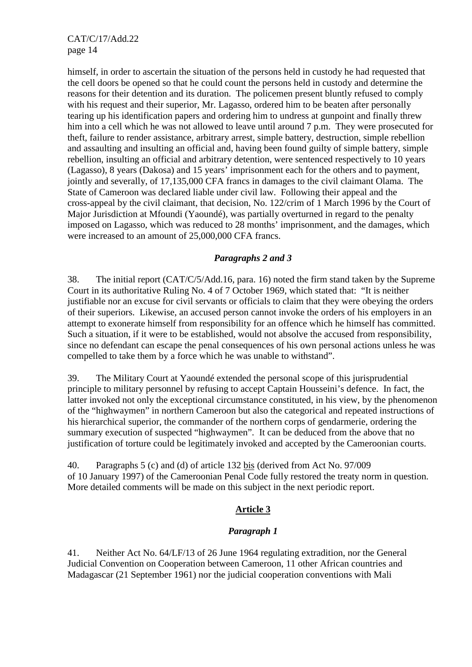himself, in order to ascertain the situation of the persons held in custody he had requested that the cell doors be opened so that he could count the persons held in custody and determine the reasons for their detention and its duration. The policemen present bluntly refused to comply with his request and their superior, Mr. Lagasso, ordered him to be beaten after personally tearing up his identification papers and ordering him to undress at gunpoint and finally threw him into a cell which he was not allowed to leave until around 7 p.m. They were prosecuted for theft, failure to render assistance, arbitrary arrest, simple battery, destruction, simple rebellion and assaulting and insulting an official and, having been found guilty of simple battery, simple rebellion, insulting an official and arbitrary detention, were sentenced respectively to 10 years (Lagasso), 8 years (Dakosa) and 15 years' imprisonment each for the others and to payment, jointly and severally, of 17,135,000 CFA francs in damages to the civil claimant Olama. The State of Cameroon was declared liable under civil law. Following their appeal and the cross-appeal by the civil claimant, that decision, No. 122/crim of 1 March 1996 by the Court of Major Jurisdiction at Mfoundi (Yaoundé), was partially overturned in regard to the penalty imposed on Lagasso, which was reduced to 28 months' imprisonment, and the damages, which were increased to an amount of 25,000,000 CFA francs.

### *Paragraphs 2 and 3*

38. The initial report (CAT/C/5/Add.16, para. 16) noted the firm stand taken by the Supreme Court in its authoritative Ruling No. 4 of 7 October 1969, which stated that: "It is neither justifiable nor an excuse for civil servants or officials to claim that they were obeying the orders of their superiors. Likewise, an accused person cannot invoke the orders of his employers in an attempt to exonerate himself from responsibility for an offence which he himself has committed. Such a situation, if it were to be established, would not absolve the accused from responsibility, since no defendant can escape the penal consequences of his own personal actions unless he was compelled to take them by a force which he was unable to withstand".

39. The Military Court at Yaoundé extended the personal scope of this jurisprudential principle to military personnel by refusing to accept Captain Housseini's defence. In fact, the latter invoked not only the exceptional circumstance constituted, in his view, by the phenomenon of the "highwaymen" in northern Cameroon but also the categorical and repeated instructions of his hierarchical superior, the commander of the northern corps of gendarmerie, ordering the summary execution of suspected "highwaymen". It can be deduced from the above that no justification of torture could be legitimately invoked and accepted by the Cameroonian courts.

40. Paragraphs 5 (c) and (d) of article 132 bis (derived from Act No. 97/009 of 10 January 1997) of the Cameroonian Penal Code fully restored the treaty norm in question. More detailed comments will be made on this subject in the next periodic report.

### **Article 3**

### *Paragraph 1*

41. Neither Act No. 64/LF/13 of 26 June 1964 regulating extradition, nor the General Judicial Convention on Cooperation between Cameroon, 11 other African countries and Madagascar (21 September 1961) nor the judicial cooperation conventions with Mali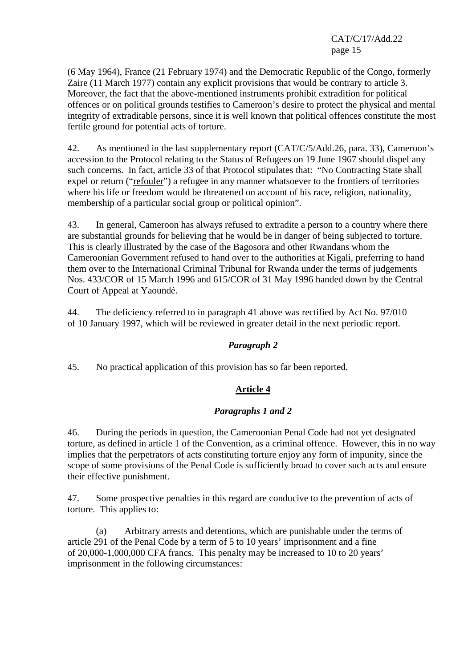(6 May 1964), France (21 February 1974) and the Democratic Republic of the Congo, formerly Zaire (11 March 1977) contain any explicit provisions that would be contrary to article 3. Moreover, the fact that the above-mentioned instruments prohibit extradition for political offences or on political grounds testifies to Cameroon's desire to protect the physical and mental integrity of extraditable persons, since it is well known that political offences constitute the most fertile ground for potential acts of torture.

42. As mentioned in the last supplementary report (CAT/C/5/Add.26, para. 33), Cameroon's accession to the Protocol relating to the Status of Refugees on 19 June 1967 should dispel any such concerns. In fact, article 33 of that Protocol stipulates that: "No Contracting State shall expel or return ("refouler") a refugee in any manner whatsoever to the frontiers of territories where his life or freedom would be threatened on account of his race, religion, nationality, membership of a particular social group or political opinion".

43. In general, Cameroon has always refused to extradite a person to a country where there are substantial grounds for believing that he would be in danger of being subjected to torture. This is clearly illustrated by the case of the Bagosora and other Rwandans whom the Cameroonian Government refused to hand over to the authorities at Kigali, preferring to hand them over to the International Criminal Tribunal for Rwanda under the terms of judgements Nos. 433/COR of 15 March 1996 and 615/COR of 31 May 1996 handed down by the Central Court of Appeal at Yaoundé.

44. The deficiency referred to in paragraph 41 above was rectified by Act No. 97/010 of 10 January 1997, which will be reviewed in greater detail in the next periodic report.

### *Paragraph 2*

45. No practical application of this provision has so far been reported.

### **Article 4**

### *Paragraphs 1 and 2*

46. During the periods in question, the Cameroonian Penal Code had not yet designated torture, as defined in article 1 of the Convention, as a criminal offence. However, this in no way implies that the perpetrators of acts constituting torture enjoy any form of impunity, since the scope of some provisions of the Penal Code is sufficiently broad to cover such acts and ensure their effective punishment.

47. Some prospective penalties in this regard are conducive to the prevention of acts of torture. This applies to:

(a) Arbitrary arrests and detentions, which are punishable under the terms of article 291 of the Penal Code by a term of 5 to 10 years' imprisonment and a fine of 20,000-1,000,000 CFA francs. This penalty may be increased to 10 to 20 years' imprisonment in the following circumstances: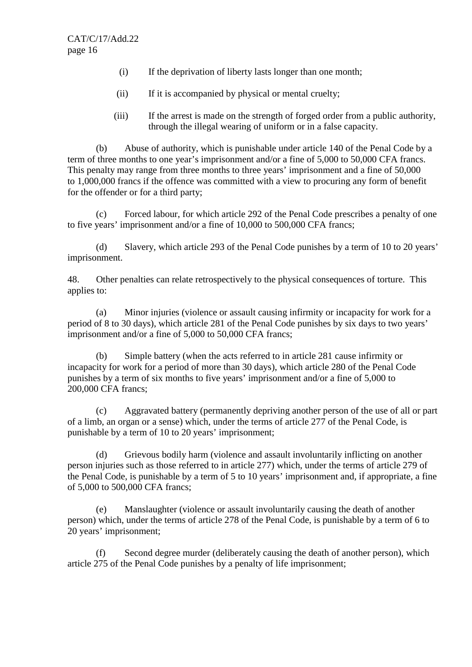- (i) If the deprivation of liberty lasts longer than one month;
- (ii) If it is accompanied by physical or mental cruelty;
- (iii) If the arrest is made on the strength of forged order from a public authority, through the illegal wearing of uniform or in a false capacity.

(b) Abuse of authority, which is punishable under article 140 of the Penal Code by a term of three months to one year's imprisonment and/or a fine of 5,000 to 50,000 CFA francs. This penalty may range from three months to three years' imprisonment and a fine of 50,000 to 1,000,000 francs if the offence was committed with a view to procuring any form of benefit for the offender or for a third party;

(c) Forced labour, for which article 292 of the Penal Code prescribes a penalty of one to five years' imprisonment and/or a fine of 10,000 to 500,000 CFA francs;

(d) Slavery, which article 293 of the Penal Code punishes by a term of 10 to 20 years' imprisonment.

48. Other penalties can relate retrospectively to the physical consequences of torture. This applies to:

(a) Minor injuries (violence or assault causing infirmity or incapacity for work for a period of 8 to 30 days), which article 281 of the Penal Code punishes by six days to two years' imprisonment and/or a fine of 5,000 to 50,000 CFA francs;

(b) Simple battery (when the acts referred to in article 281 cause infirmity or incapacity for work for a period of more than 30 days), which article 280 of the Penal Code punishes by a term of six months to five years' imprisonment and/or a fine of 5,000 to 200,000 CFA francs;

(c) Aggravated battery (permanently depriving another person of the use of all or part of a limb, an organ or a sense) which, under the terms of article 277 of the Penal Code, is punishable by a term of 10 to 20 years' imprisonment;

(d) Grievous bodily harm (violence and assault involuntarily inflicting on another person injuries such as those referred to in article 277) which, under the terms of article 279 of the Penal Code, is punishable by a term of 5 to 10 years' imprisonment and, if appropriate, a fine of 5,000 to 500,000 CFA francs;

(e) Manslaughter (violence or assault involuntarily causing the death of another person) which, under the terms of article 278 of the Penal Code, is punishable by a term of 6 to 20 years' imprisonment;

(f) Second degree murder (deliberately causing the death of another person), which article 275 of the Penal Code punishes by a penalty of life imprisonment;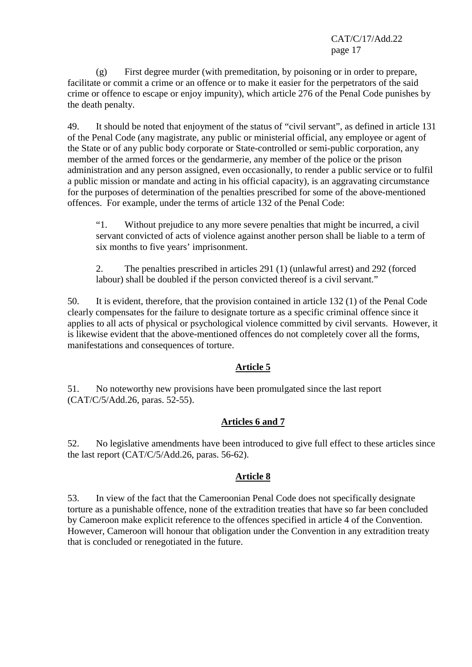(g) First degree murder (with premeditation, by poisoning or in order to prepare, facilitate or commit a crime or an offence or to make it easier for the perpetrators of the said crime or offence to escape or enjoy impunity), which article 276 of the Penal Code punishes by the death penalty.

49. It should be noted that enjoyment of the status of "civil servant", as defined in article 131 of the Penal Code (any magistrate, any public or ministerial official, any employee or agent of the State or of any public body corporate or State-controlled or semi-public corporation, any member of the armed forces or the gendarmerie, any member of the police or the prison administration and any person assigned, even occasionally, to render a public service or to fulfil a public mission or mandate and acting in his official capacity), is an aggravating circumstance for the purposes of determination of the penalties prescribed for some of the above-mentioned offences. For example, under the terms of article 132 of the Penal Code:

"1. Without prejudice to any more severe penalties that might be incurred, a civil servant convicted of acts of violence against another person shall be liable to a term of six months to five years' imprisonment.

2. The penalties prescribed in articles 291 (1) (unlawful arrest) and 292 (forced labour) shall be doubled if the person convicted thereof is a civil servant."

50. It is evident, therefore, that the provision contained in article 132 (1) of the Penal Code clearly compensates for the failure to designate torture as a specific criminal offence since it applies to all acts of physical or psychological violence committed by civil servants. However, it is likewise evident that the above-mentioned offences do not completely cover all the forms, manifestations and consequences of torture.

### **Article 5**

51. No noteworthy new provisions have been promulgated since the last report (CAT/C/5/Add.26, paras. 52-55).

### **Articles 6 and 7**

52. No legislative amendments have been introduced to give full effect to these articles since the last report (CAT/C/5/Add.26, paras. 56-62).

## **Article 8**

53. In view of the fact that the Cameroonian Penal Code does not specifically designate torture as a punishable offence, none of the extradition treaties that have so far been concluded by Cameroon make explicit reference to the offences specified in article 4 of the Convention. However, Cameroon will honour that obligation under the Convention in any extradition treaty that is concluded or renegotiated in the future.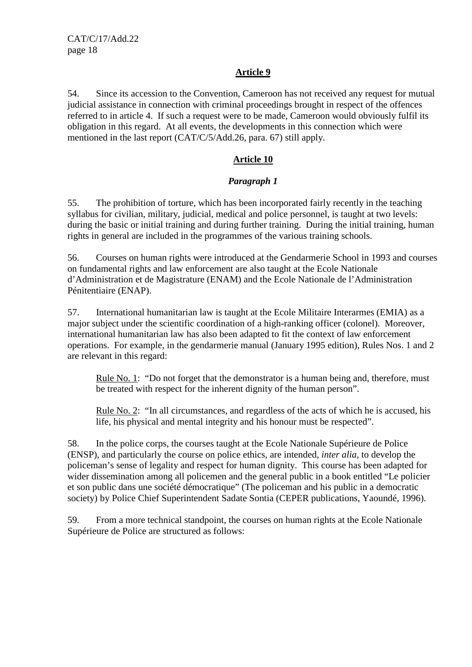### **Article 9**

54. Since its accession to the Convention, Cameroon has not received any request for mutual judicial assistance in connection with criminal proceedings brought in respect of the offences referred to in article 4. If such a request were to be made, Cameroon would obviously fulfil its obligation in this regard. At all events, the developments in this connection which were mentioned in the last report (CAT/C/5/Add.26, para. 67) still apply.

### **Article 10**

### *Paragraph 1*

55. The prohibition of torture, which has been incorporated fairly recently in the teaching syllabus for civilian, military, judicial, medical and police personnel, is taught at two levels: during the basic or initial training and during further training. During the initial training, human rights in general are included in the programmes of the various training schools.

56. Courses on human rights were introduced at the Gendarmerie School in 1993 and courses on fundamental rights and law enforcement are also taught at the Ecole Nationale d'Administration et de Magistrature (ENAM) and the Ecole Nationale de l'Administration Pénitentiaire (ENAP).

57. International humanitarian law is taught at the Ecole Militaire Interarmes (EMIA) as a major subject under the scientific coordination of a high-ranking officer (colonel). Moreover, international humanitarian law has also been adapted to fit the context of law enforcement operations. For example, in the gendarmerie manual (January 1995 edition), Rules Nos. 1 and 2 are relevant in this regard:

Rule No. 1: "Do not forget that the demonstrator is a human being and, therefore, must be treated with respect for the inherent dignity of the human person".

Rule No. 2: "In all circumstances, and regardless of the acts of which he is accused, his life, his physical and mental integrity and his honour must be respected".

58. In the police corps, the courses taught at the Ecole Nationale Supérieure de Police (ENSP), and particularly the course on police ethics, are intended, *inter alia*, to develop the policeman's sense of legality and respect for human dignity. This course has been adapted for wider dissemination among all policemen and the general public in a book entitled "Le policier et son public dans une société démocratique" (The policeman and his public in a democratic society) by Police Chief Superintendent Sadate Sontia (CEPER publications, Yaoundé, 1996).

59. From a more technical standpoint, the courses on human rights at the Ecole Nationale Supérieure de Police are structured as follows: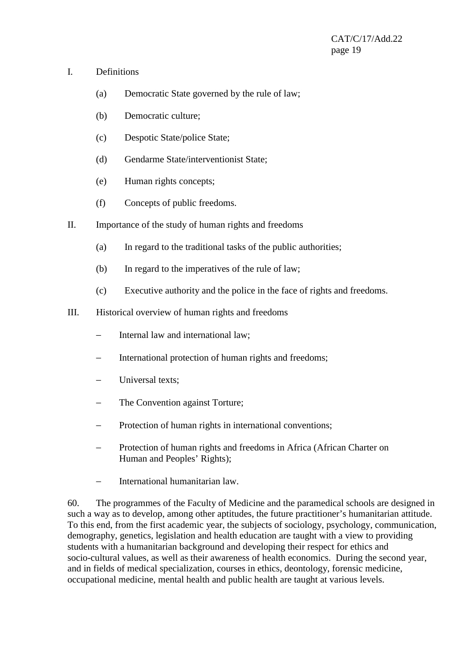#### I. Definitions

- (a) Democratic State governed by the rule of law;
- (b) Democratic culture;
- (c) Despotic State/police State;
- (d) Gendarme State/interventionist State;
- (e) Human rights concepts;
- (f) Concepts of public freedoms.
- II. Importance of the study of human rights and freedoms
	- (a) In regard to the traditional tasks of the public authorities;
	- (b) In regard to the imperatives of the rule of law;
	- (c) Executive authority and the police in the face of rights and freedoms.
- III. Historical overview of human rights and freedoms
	- Internal law and international law;
	- − International protection of human rights and freedoms;
	- Universal texts:
	- − The Convention against Torture;
	- − Protection of human rights in international conventions;
	- Protection of human rights and freedoms in Africa (African Charter on Human and Peoples' Rights);
	- − International humanitarian law.

60. The programmes of the Faculty of Medicine and the paramedical schools are designed in such a way as to develop, among other aptitudes, the future practitioner's humanitarian attitude. To this end, from the first academic year, the subjects of sociology, psychology, communication, demography, genetics, legislation and health education are taught with a view to providing students with a humanitarian background and developing their respect for ethics and socio-cultural values, as well as their awareness of health economics. During the second year, and in fields of medical specialization, courses in ethics, deontology, forensic medicine, occupational medicine, mental health and public health are taught at various levels.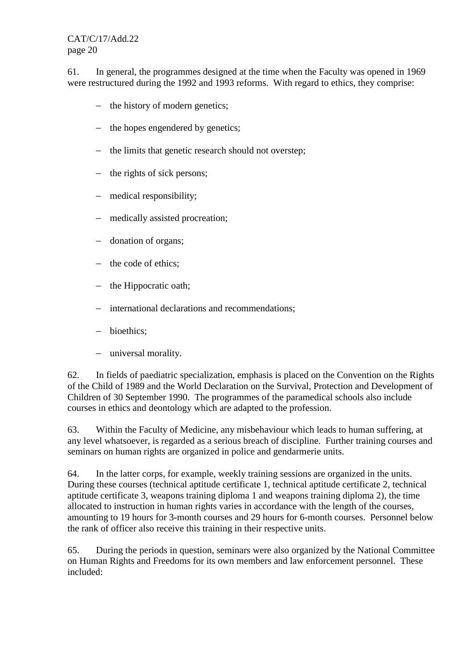61. In general, the programmes designed at the time when the Faculty was opened in 1969 were restructured during the 1992 and 1993 reforms. With regard to ethics, they comprise:

- − the history of modern genetics;
- − the hopes engendered by genetics;
- − the limits that genetic research should not overstep;
- − the rights of sick persons;
- − medical responsibility;
- − medically assisted procreation;
- − donation of organs;
- − the code of ethics;
- − the Hippocratic oath;
- − international declarations and recommendations;
- − bioethics;
- − universal morality.

62. In fields of paediatric specialization, emphasis is placed on the Convention on the Rights of the Child of 1989 and the World Declaration on the Survival, Protection and Development of Children of 30 September 1990. The programmes of the paramedical schools also include courses in ethics and deontology which are adapted to the profession.

63. Within the Faculty of Medicine, any misbehaviour which leads to human suffering, at any level whatsoever, is regarded as a serious breach of discipline. Further training courses and seminars on human rights are organized in police and gendarmerie units.

64. In the latter corps, for example, weekly training sessions are organized in the units. During these courses (technical aptitude certificate 1, technical aptitude certificate 2, technical aptitude certificate 3, weapons training diploma 1 and weapons training diploma 2), the time allocated to instruction in human rights varies in accordance with the length of the courses, amounting to 19 hours for 3-month courses and 29 hours for 6-month courses. Personnel below the rank of officer also receive this training in their respective units.

65. During the periods in question, seminars were also organized by the National Committee on Human Rights and Freedoms for its own members and law enforcement personnel. These included: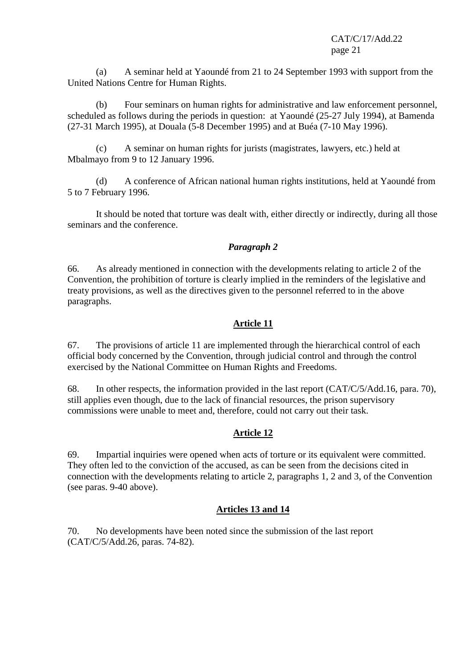(a) A seminar held at Yaoundé from 21 to 24 September 1993 with support from the United Nations Centre for Human Rights.

(b) Four seminars on human rights for administrative and law enforcement personnel, scheduled as follows during the periods in question: at Yaoundé (25-27 July 1994), at Bamenda (27-31 March 1995), at Douala (5-8 December 1995) and at Buéa (7-10 May 1996).

(c) A seminar on human rights for jurists (magistrates, lawyers, etc.) held at Mbalmayo from 9 to 12 January 1996.

(d) A conference of African national human rights institutions, held at Yaoundé from 5 to 7 February 1996.

It should be noted that torture was dealt with, either directly or indirectly, during all those seminars and the conference.

### *Paragraph 2*

66. As already mentioned in connection with the developments relating to article 2 of the Convention, the prohibition of torture is clearly implied in the reminders of the legislative and treaty provisions, as well as the directives given to the personnel referred to in the above paragraphs.

### **Article 11**

67. The provisions of article 11 are implemented through the hierarchical control of each official body concerned by the Convention, through judicial control and through the control exercised by the National Committee on Human Rights and Freedoms.

68. In other respects, the information provided in the last report (CAT/C/5/Add.16, para. 70), still applies even though, due to the lack of financial resources, the prison supervisory commissions were unable to meet and, therefore, could not carry out their task.

### **Article 12**

69. Impartial inquiries were opened when acts of torture or its equivalent were committed. They often led to the conviction of the accused, as can be seen from the decisions cited in connection with the developments relating to article 2, paragraphs 1, 2 and 3, of the Convention (see paras. 9-40 above).

### **Articles 13 and 14**

70. No developments have been noted since the submission of the last report (CAT/C/5/Add.26, paras. 74-82).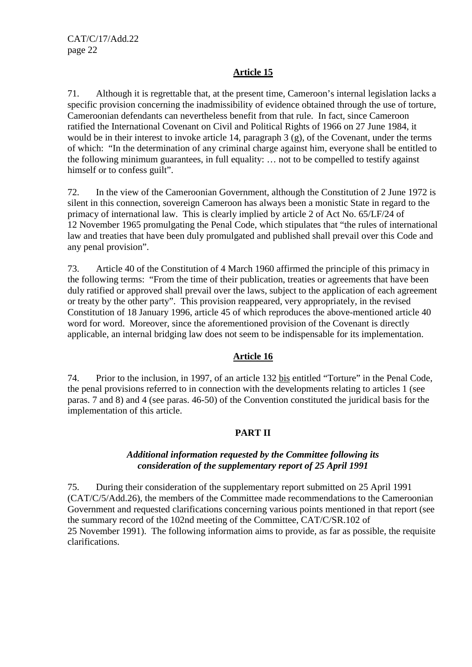# **Article 15**

71. Although it is regrettable that, at the present time, Cameroon's internal legislation lacks a specific provision concerning the inadmissibility of evidence obtained through the use of torture, Cameroonian defendants can nevertheless benefit from that rule. In fact, since Cameroon ratified the International Covenant on Civil and Political Rights of 1966 on 27 June 1984, it would be in their interest to invoke article 14, paragraph 3 (g), of the Covenant, under the terms of which: "In the determination of any criminal charge against him, everyone shall be entitled to the following minimum guarantees, in full equality: … not to be compelled to testify against himself or to confess guilt".

72. In the view of the Cameroonian Government, although the Constitution of 2 June 1972 is silent in this connection, sovereign Cameroon has always been a monistic State in regard to the primacy of international law. This is clearly implied by article 2 of Act No. 65/LF/24 of 12 November 1965 promulgating the Penal Code, which stipulates that "the rules of international law and treaties that have been duly promulgated and published shall prevail over this Code and any penal provision".

73. Article 40 of the Constitution of 4 March 1960 affirmed the principle of this primacy in the following terms: "From the time of their publication, treaties or agreements that have been duly ratified or approved shall prevail over the laws, subject to the application of each agreement or treaty by the other party". This provision reappeared, very appropriately, in the revised Constitution of 18 January 1996, article 45 of which reproduces the above-mentioned article 40 word for word. Moreover, since the aforementioned provision of the Covenant is directly applicable, an internal bridging law does not seem to be indispensable for its implementation.

### **Article 16**

74. Prior to the inclusion, in 1997, of an article 132 bis entitled "Torture" in the Penal Code, the penal provisions referred to in connection with the developments relating to articles 1 (see paras. 7 and 8) and 4 (see paras. 46-50) of the Convention constituted the juridical basis for the implementation of this article.

### **PART II**

#### *Additional information requested by the Committee following its consideration of the supplementary report of 25 April 1991*

75. During their consideration of the supplementary report submitted on 25 April 1991 (CAT/C/5/Add.26), the members of the Committee made recommendations to the Cameroonian Government and requested clarifications concerning various points mentioned in that report (see the summary record of the 102nd meeting of the Committee, CAT/C/SR.102 of 25 November 1991). The following information aims to provide, as far as possible, the requisite clarifications.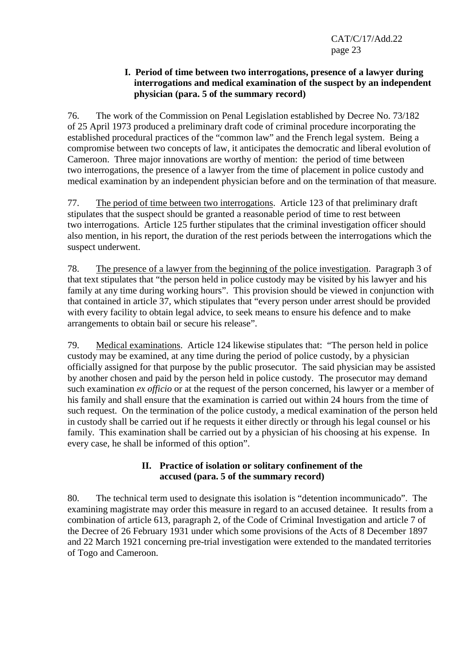#### **I. Period of time between two interrogations, presence of a lawyer during interrogations and medical examination of the suspect by an independent physician (para. 5 of the summary record)**

76. The work of the Commission on Penal Legislation established by Decree No. 73/182 of 25 April 1973 produced a preliminary draft code of criminal procedure incorporating the established procedural practices of the "common law" and the French legal system. Being a compromise between two concepts of law, it anticipates the democratic and liberal evolution of Cameroon. Three major innovations are worthy of mention: the period of time between two interrogations, the presence of a lawyer from the time of placement in police custody and medical examination by an independent physician before and on the termination of that measure.

77. The period of time between two interrogations. Article 123 of that preliminary draft stipulates that the suspect should be granted a reasonable period of time to rest between two interrogations. Article 125 further stipulates that the criminal investigation officer should also mention, in his report, the duration of the rest periods between the interrogations which the suspect underwent.

78. The presence of a lawyer from the beginning of the police investigation. Paragraph 3 of that text stipulates that "the person held in police custody may be visited by his lawyer and his family at any time during working hours". This provision should be viewed in conjunction with that contained in article 37, which stipulates that "every person under arrest should be provided with every facility to obtain legal advice, to seek means to ensure his defence and to make arrangements to obtain bail or secure his release".

79. Medical examinations. Article 124 likewise stipulates that: "The person held in police custody may be examined, at any time during the period of police custody, by a physician officially assigned for that purpose by the public prosecutor. The said physician may be assisted by another chosen and paid by the person held in police custody. The prosecutor may demand such examination *ex officio* or at the request of the person concerned, his lawyer or a member of his family and shall ensure that the examination is carried out within 24 hours from the time of such request. On the termination of the police custody, a medical examination of the person held in custody shall be carried out if he requests it either directly or through his legal counsel or his family. This examination shall be carried out by a physician of his choosing at his expense. In every case, he shall be informed of this option".

### **II. Practice of isolation or solitary confinement of the accused (para. 5 of the summary record)**

80. The technical term used to designate this isolation is "detention incommunicado". The examining magistrate may order this measure in regard to an accused detainee. It results from a combination of article 613, paragraph 2, of the Code of Criminal Investigation and article 7 of the Decree of 26 February 1931 under which some provisions of the Acts of 8 December 1897 and 22 March 1921 concerning pre-trial investigation were extended to the mandated territories of Togo and Cameroon.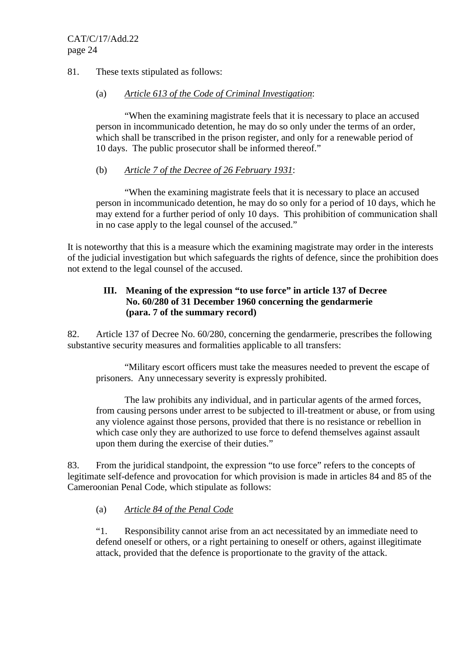#### 81. These texts stipulated as follows:

#### (a) *Article 613 of the Code of Criminal Investigation*:

"When the examining magistrate feels that it is necessary to place an accused person in incommunicado detention, he may do so only under the terms of an order, which shall be transcribed in the prison register, and only for a renewable period of 10 days. The public prosecutor shall be informed thereof."

### (b) *Article 7 of the Decree of 26 February 1931*:

"When the examining magistrate feels that it is necessary to place an accused person in incommunicado detention, he may do so only for a period of 10 days, which he may extend for a further period of only 10 days. This prohibition of communication shall in no case apply to the legal counsel of the accused."

It is noteworthy that this is a measure which the examining magistrate may order in the interests of the judicial investigation but which safeguards the rights of defence, since the prohibition does not extend to the legal counsel of the accused.

### **III. Meaning of the expression "to use force" in article 137 of Decree No. 60/280 of 31 December 1960 concerning the gendarmerie (para. 7 of the summary record)**

82. Article 137 of Decree No. 60/280, concerning the gendarmerie, prescribes the following substantive security measures and formalities applicable to all transfers:

"Military escort officers must take the measures needed to prevent the escape of prisoners. Any unnecessary severity is expressly prohibited.

The law prohibits any individual, and in particular agents of the armed forces, from causing persons under arrest to be subjected to ill-treatment or abuse, or from using any violence against those persons, provided that there is no resistance or rebellion in which case only they are authorized to use force to defend themselves against assault upon them during the exercise of their duties."

83. From the juridical standpoint, the expression "to use force" refers to the concepts of legitimate self-defence and provocation for which provision is made in articles 84 and 85 of the Cameroonian Penal Code, which stipulate as follows:

### (a) *Article 84 of the Penal Code*

"1. Responsibility cannot arise from an act necessitated by an immediate need to defend oneself or others, or a right pertaining to oneself or others, against illegitimate attack, provided that the defence is proportionate to the gravity of the attack.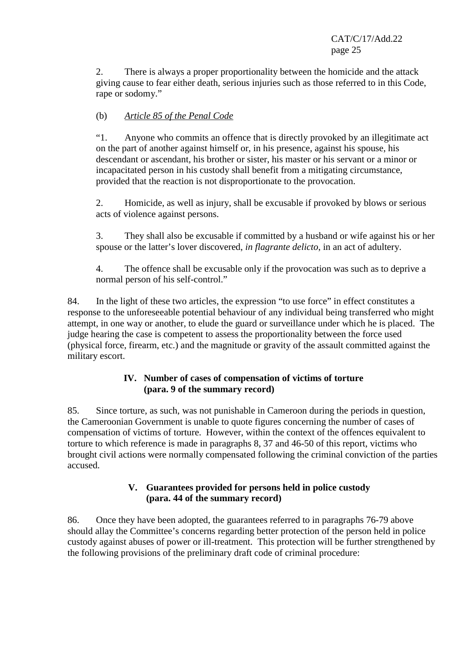2. There is always a proper proportionality between the homicide and the attack giving cause to fear either death, serious injuries such as those referred to in this Code, rape or sodomy."

# (b) *Article 85 of the Penal Code*

"1. Anyone who commits an offence that is directly provoked by an illegitimate act on the part of another against himself or, in his presence, against his spouse, his descendant or ascendant, his brother or sister, his master or his servant or a minor or incapacitated person in his custody shall benefit from a mitigating circumstance, provided that the reaction is not disproportionate to the provocation.

2. Homicide, as well as injury, shall be excusable if provoked by blows or serious acts of violence against persons.

3. They shall also be excusable if committed by a husband or wife against his or her spouse or the latter's lover discovered, *in flagrante delicto*, in an act of adultery.

4. The offence shall be excusable only if the provocation was such as to deprive a normal person of his self-control."

84. In the light of these two articles, the expression "to use force" in effect constitutes a response to the unforeseeable potential behaviour of any individual being transferred who might attempt, in one way or another, to elude the guard or surveillance under which he is placed. The judge hearing the case is competent to assess the proportionality between the force used (physical force, firearm, etc.) and the magnitude or gravity of the assault committed against the military escort.

### **IV. Number of cases of compensation of victims of torture (para. 9 of the summary record)**

85. Since torture, as such, was not punishable in Cameroon during the periods in question, the Cameroonian Government is unable to quote figures concerning the number of cases of compensation of victims of torture. However, within the context of the offences equivalent to torture to which reference is made in paragraphs 8, 37 and 46-50 of this report, victims who brought civil actions were normally compensated following the criminal conviction of the parties accused.

### **V. Guarantees provided for persons held in police custody (para. 44 of the summary record)**

86. Once they have been adopted, the guarantees referred to in paragraphs 76-79 above should allay the Committee's concerns regarding better protection of the person held in police custody against abuses of power or ill-treatment. This protection will be further strengthened by the following provisions of the preliminary draft code of criminal procedure: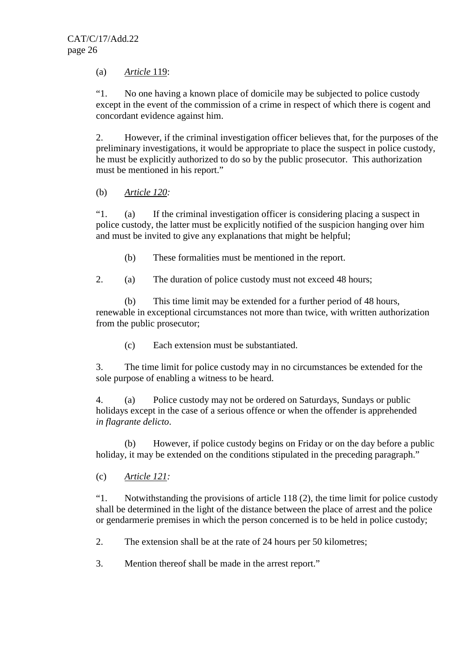(a) *Article* 119:

"1. No one having a known place of domicile may be subjected to police custody except in the event of the commission of a crime in respect of which there is cogent and concordant evidence against him.

2. However, if the criminal investigation officer believes that, for the purposes of the preliminary investigations, it would be appropriate to place the suspect in police custody, he must be explicitly authorized to do so by the public prosecutor. This authorization must be mentioned in his report."

(b) *Article 120:*

"1. (a) If the criminal investigation officer is considering placing a suspect in police custody, the latter must be explicitly notified of the suspicion hanging over him and must be invited to give any explanations that might be helpful;

(b) These formalities must be mentioned in the report.

2. (a) The duration of police custody must not exceed 48 hours;

(b) This time limit may be extended for a further period of 48 hours, renewable in exceptional circumstances not more than twice, with written authorization from the public prosecutor;

(c) Each extension must be substantiated.

3. The time limit for police custody may in no circumstances be extended for the sole purpose of enabling a witness to be heard.

4. (a) Police custody may not be ordered on Saturdays, Sundays or public holidays except in the case of a serious offence or when the offender is apprehended *in flagrante delicto*.

(b) However, if police custody begins on Friday or on the day before a public holiday, it may be extended on the conditions stipulated in the preceding paragraph."

(c) *Article 121:*

"1. Notwithstanding the provisions of article 118 (2), the time limit for police custody shall be determined in the light of the distance between the place of arrest and the police or gendarmerie premises in which the person concerned is to be held in police custody;

2. The extension shall be at the rate of 24 hours per 50 kilometres;

3. Mention thereof shall be made in the arrest report."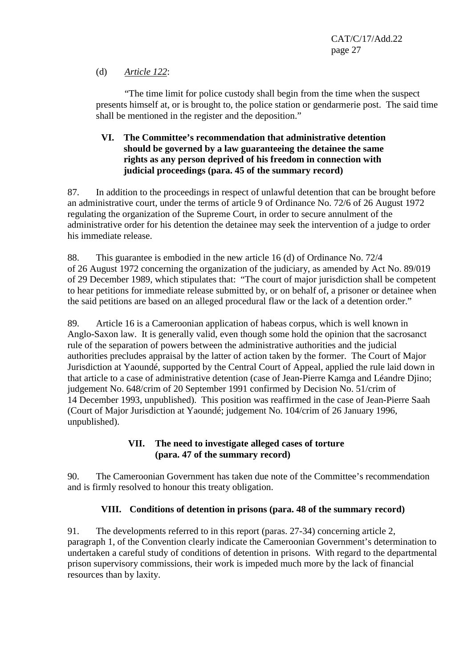### (d) *Article 122*:

"The time limit for police custody shall begin from the time when the suspect presents himself at, or is brought to, the police station or gendarmerie post. The said time shall be mentioned in the register and the deposition."

### **VI. The Committee's recommendation that administrative detention should be governed by a law guaranteeing the detainee the same rights as any person deprived of his freedom in connection with judicial proceedings (para. 45 of the summary record)**

87. In addition to the proceedings in respect of unlawful detention that can be brought before an administrative court, under the terms of article 9 of Ordinance No. 72/6 of 26 August 1972 regulating the organization of the Supreme Court, in order to secure annulment of the administrative order for his detention the detainee may seek the intervention of a judge to order his immediate release.

88. This guarantee is embodied in the new article 16 (d) of Ordinance No. 72/4 of 26 August 1972 concerning the organization of the judiciary, as amended by Act No. 89/019 of 29 December 1989, which stipulates that: "The court of major jurisdiction shall be competent to hear petitions for immediate release submitted by, or on behalf of, a prisoner or detainee when the said petitions are based on an alleged procedural flaw or the lack of a detention order."

89. Article 16 is a Cameroonian application of habeas corpus, which is well known in Anglo-Saxon law. It is generally valid, even though some hold the opinion that the sacrosanct rule of the separation of powers between the administrative authorities and the judicial authorities precludes appraisal by the latter of action taken by the former. The Court of Major Jurisdiction at Yaoundé, supported by the Central Court of Appeal, applied the rule laid down in that article to a case of administrative detention (case of Jean-Pierre Kamga and Léandre Djino; judgement No. 648/crim of 20 September 1991 confirmed by Decision No. 51/crim of 14 December 1993, unpublished). This position was reaffirmed in the case of Jean-Pierre Saah (Court of Major Jurisdiction at Yaoundé; judgement No. 104/crim of 26 January 1996, unpublished).

### **VII. The need to investigate alleged cases of torture (para. 47 of the summary record)**

90. The Cameroonian Government has taken due note of the Committee's recommendation and is firmly resolved to honour this treaty obligation.

### **VIII. Conditions of detention in prisons (para. 48 of the summary record)**

91. The developments referred to in this report (paras. 27-34) concerning article 2, paragraph 1, of the Convention clearly indicate the Cameroonian Government's determination to undertaken a careful study of conditions of detention in prisons. With regard to the departmental prison supervisory commissions, their work is impeded much more by the lack of financial resources than by laxity.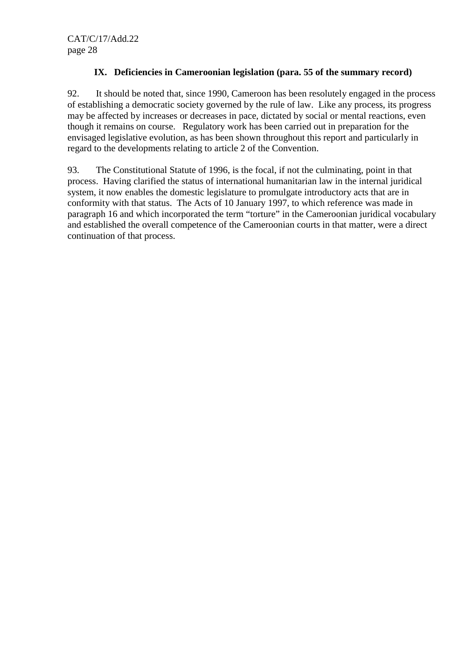## **IX. Deficiencies in Cameroonian legislation (para. 55 of the summary record)**

92. It should be noted that, since 1990, Cameroon has been resolutely engaged in the process of establishing a democratic society governed by the rule of law. Like any process, its progress may be affected by increases or decreases in pace, dictated by social or mental reactions, even though it remains on course. Regulatory work has been carried out in preparation for the envisaged legislative evolution, as has been shown throughout this report and particularly in regard to the developments relating to article 2 of the Convention.

93. The Constitutional Statute of 1996, is the focal, if not the culminating, point in that process. Having clarified the status of international humanitarian law in the internal juridical system, it now enables the domestic legislature to promulgate introductory acts that are in conformity with that status. The Acts of 10 January 1997, to which reference was made in paragraph 16 and which incorporated the term "torture" in the Cameroonian juridical vocabulary and established the overall competence of the Cameroonian courts in that matter, were a direct continuation of that process.